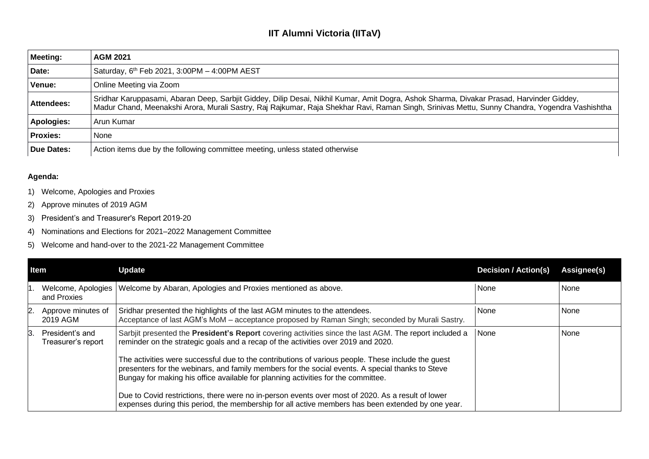## **IIT Alumni Victoria (IITaV)**

| <b>Meeting:</b>   | <b>AGM 2021</b>                                                                                                                                                                                                                                                                           |
|-------------------|-------------------------------------------------------------------------------------------------------------------------------------------------------------------------------------------------------------------------------------------------------------------------------------------|
| Date:             | Saturday, 6 <sup>th</sup> Feb 2021, 3:00PM - 4:00PM AEST                                                                                                                                                                                                                                  |
| Venue:            | Online Meeting via Zoom                                                                                                                                                                                                                                                                   |
| <b>Attendees:</b> | Sridhar Karuppasami, Abaran Deep, Sarbjit Giddey, Dilip Desai, Nikhil Kumar, Amit Dogra, Ashok Sharma, Divakar Prasad, Harvinder Giddey,<br>Madur Chand, Meenakshi Arora, Murali Sastry, Raj Rajkumar, Raja Shekhar Ravi, Raman Singh, Srinivas Mettu, Sunny Chandra, Yogendra Vashishtha |
| <b>Apologies:</b> | Arun Kumar                                                                                                                                                                                                                                                                                |
| <b>Proxies:</b>   | None                                                                                                                                                                                                                                                                                      |
| Due Dates:        | Action items due by the following committee meeting, unless stated otherwise                                                                                                                                                                                                              |

## **Agenda:**

- 1) Welcome, Apologies and Proxies
- 2) Approve minutes of 2019 AGM
- 3) President's and Treasurer's Report 2019-20
- 4) Nominations and Elections for 2021–2022 Management Committee
- 5) Welcome and hand-over to the 2021-22 Management Committee

| <b>Item</b> |                                       | <b>Update</b>                                                                                                                                                                                                                                                                                                                                                                                                | <b>Decision / Action(s)</b> | Assignee(s) |
|-------------|---------------------------------------|--------------------------------------------------------------------------------------------------------------------------------------------------------------------------------------------------------------------------------------------------------------------------------------------------------------------------------------------------------------------------------------------------------------|-----------------------------|-------------|
|             | Welcome, Apologies<br>and Proxies     | Welcome by Abaran, Apologies and Proxies mentioned as above.                                                                                                                                                                                                                                                                                                                                                 | None                        | None        |
| 2.          | Approve minutes of<br>2019 AGM        | Sridhar presented the highlights of the last AGM minutes to the attendees.<br>Acceptance of last AGM's MoM - acceptance proposed by Raman Singh; seconded by Murali Sastry.                                                                                                                                                                                                                                  | None                        | None        |
| ß.          | President's and<br>Treasurer's report | Sarbjit presented the <b>President's Report</b> covering activities since the last AGM. The report included a<br>reminder on the strategic goals and a recap of the activities over 2019 and 2020.<br>The activities were successful due to the contributions of various people. These include the guest<br>presenters for the webinars, and family members for the social events. A special thanks to Steve | None                        | None        |
|             |                                       | Bungay for making his office available for planning activities for the committee.<br>Due to Covid restrictions, there were no in-person events over most of 2020. As a result of lower                                                                                                                                                                                                                       |                             |             |
|             |                                       | expenses during this period, the membership for all active members has been extended by one year.                                                                                                                                                                                                                                                                                                            |                             |             |